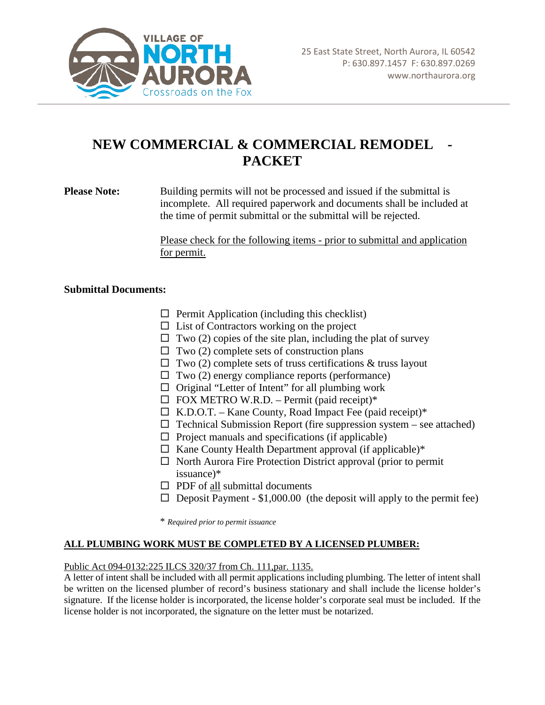

# **NEW COMMERCIAL & COMMERCIAL REMODEL - PACKET**

**Please Note:** Building permits will not be processed and issued if the submittal is incomplete. All required paperwork and documents shall be included at the time of permit submittal or the submittal will be rejected.

> Please check for the following items - prior to submittal and application for permit.

#### **Submittal Documents:**

- $\Box$  Permit Application (including this checklist)
- $\Box$  List of Contractors working on the project
- $\Box$  Two (2) copies of the site plan, including the plat of survey
- $\Box$  Two (2) complete sets of construction plans
- $\Box$  Two (2) complete sets of truss certifications & truss layout
- $\Box$  Two (2) energy compliance reports (performance)
- $\Box$  Original "Letter of Intent" for all plumbing work
- $\Box$  FOX METRO W.R.D. Permit (paid receipt)\*
- $\Box$  K.D.O.T. Kane County, Road Impact Fee (paid receipt)\*
- $\Box$  Technical Submission Report (fire suppression system see attached)
- $\Box$  Project manuals and specifications (if applicable)
- $\Box$  Kane County Health Department approval (if applicable)\*
- $\Box$  North Aurora Fire Protection District approval (prior to permit issuance)\*
- $\Box$  PDF of all submittal documents
- $\square$  Deposit Payment \$1,000.00 (the deposit will apply to the permit fee)

\* *Required prior to permit issuance*

### **ALL PLUMBING WORK MUST BE COMPLETED BY A LICENSED PLUMBER:**

#### Public Act 094-0132:225 ILCS 320/37 from Ch. 111,par. 1135.

A letter of intent shall be included with all permit applications including plumbing. The letter of intent shall be written on the licensed plumber of record's business stationary and shall include the license holder's signature. If the license holder is incorporated, the license holder's corporate seal must be included. If the license holder is not incorporated, the signature on the letter must be notarized.